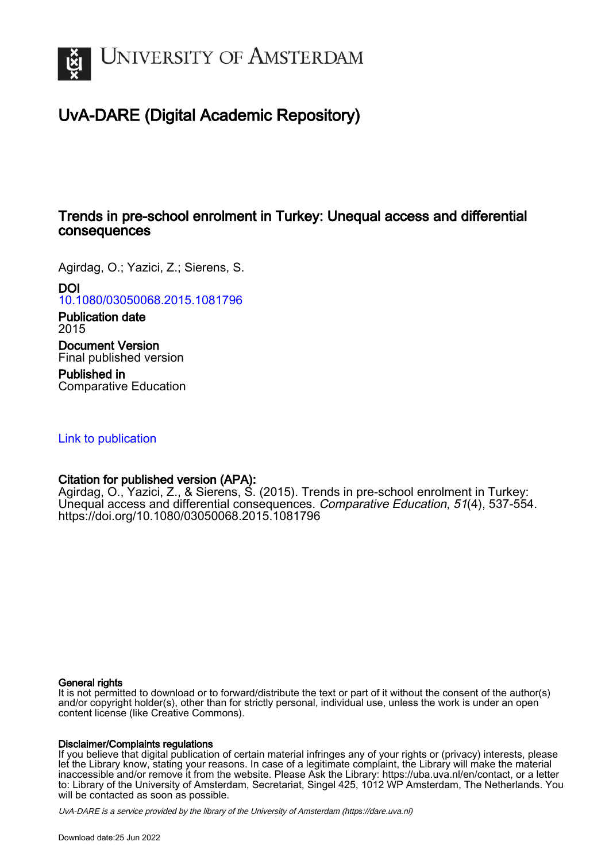

# UvA-DARE (Digital Academic Repository)

# Trends in pre-school enrolment in Turkey: Unequal access and differential consequences

Agirdag, O.; Yazici, Z.; Sierens, S.

DOI [10.1080/03050068.2015.1081796](https://doi.org/10.1080/03050068.2015.1081796)

Publication date 2015

Document Version Final published version

Published in Comparative Education

[Link to publication](https://dare.uva.nl/personal/pure/en/publications/trends-in-preschool-enrolment-in-turkey-unequal-access-and-differential-consequences(969e1aac-d2e0-4c43-b179-f236d2039887).html)

# Citation for published version (APA):

Agirdag, O., Yazici, Z., & Sierens, S. (2015). Trends in pre-school enrolment in Turkey: Unequal access and differential consequences. Comparative Education, 51(4), 537-554. <https://doi.org/10.1080/03050068.2015.1081796>

# General rights

It is not permitted to download or to forward/distribute the text or part of it without the consent of the author(s) and/or copyright holder(s), other than for strictly personal, individual use, unless the work is under an open content license (like Creative Commons).

# Disclaimer/Complaints regulations

If you believe that digital publication of certain material infringes any of your rights or (privacy) interests, please let the Library know, stating your reasons. In case of a legitimate complaint, the Library will make the material inaccessible and/or remove it from the website. Please Ask the Library: https://uba.uva.nl/en/contact, or a letter to: Library of the University of Amsterdam, Secretariat, Singel 425, 1012 WP Amsterdam, The Netherlands. You will be contacted as soon as possible.

UvA-DARE is a service provided by the library of the University of Amsterdam (http*s*://dare.uva.nl)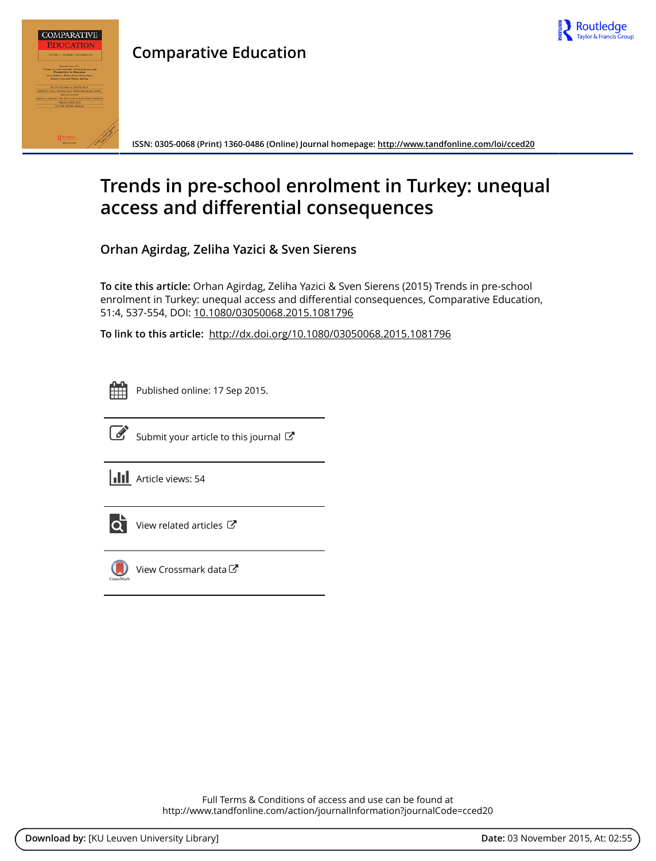

# **Comparative Education**



**ISSN: 0305-0068 (Print) 1360-0486 (Online) Journal homepage:<http://www.tandfonline.com/loi/cced20>**

# **Trends in pre-school enrolment in Turkey: unequal access and differential consequences**

**Orhan Agirdag, Zeliha Yazici & Sven Sierens**

**To cite this article:** Orhan Agirdag, Zeliha Yazici & Sven Sierens (2015) Trends in pre-school enrolment in Turkey: unequal access and differential consequences, Comparative Education, 51:4, 537-554, DOI: [10.1080/03050068.2015.1081796](http://www.tandfonline.com/action/showCitFormats?doi=10.1080/03050068.2015.1081796)

**To link to this article:** <http://dx.doi.org/10.1080/03050068.2015.1081796>

| - | _ | ۰<br><b>Service Service</b> |
|---|---|-----------------------------|
|   |   |                             |
|   |   |                             |
|   |   |                             |

Published online: 17 Sep 2015.



 $\overline{\mathscr{L}}$  [Submit your article to this journal](http://www.tandfonline.com/action/authorSubmission?journalCode=cced20&page=instructions)  $\mathbb{Z}$ 

**III** Article views: 54



 $\bullet$  [View related articles](http://www.tandfonline.com/doi/mlt/10.1080/03050068.2015.1081796)  $\sigma$ 



[View Crossmark data](http://crossmark.crossref.org/dialog/?doi=10.1080/03050068.2015.1081796&domain=pdf&date_stamp=2015-09-17)<sup>で</sup>

Full Terms & Conditions of access and use can be found at <http://www.tandfonline.com/action/journalInformation?journalCode=cced20>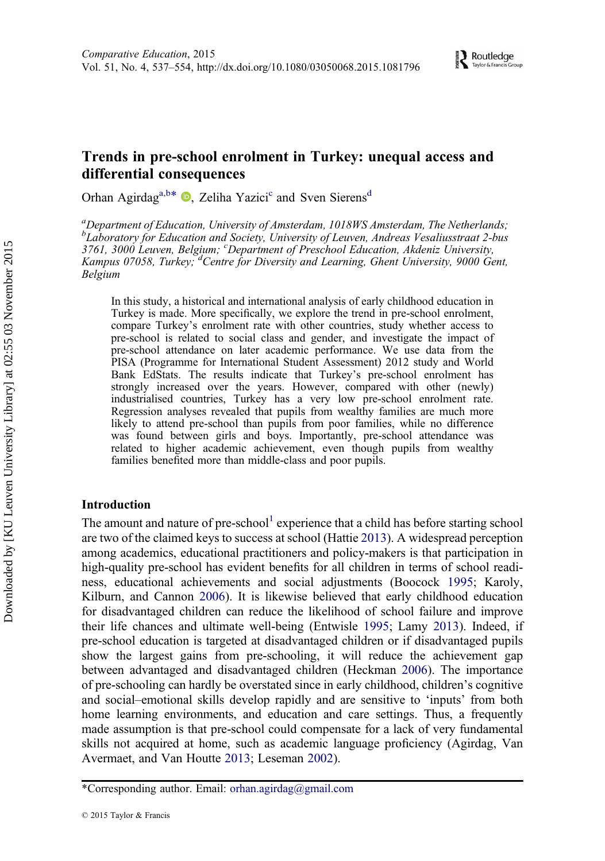# Trends in pre-school enrolment in Turkey: unequal access and differential consequences

Orhan Agirdag<sup>a[,](http://orcid.org/0000-0002-5508-1501)b\*</sup>  $\bullet$ , Zeliha Yazici<sup>c</sup> and Sven Sierens<sup>d</sup>

<sup>a</sup>Department of Education, University of Amsterdam, 1018WS Amsterdam, The Netherlands;  $^{b}$ Laboratory for Education and Society, University of Leuven, Andreas Vesaliusstraat 2-bus 3761, 3000 Leuven, Belgium; <sup>c</sup>Department of Preschool Education, Akdeniz University, Kampus 07058, Turkey;<sup>3</sup> Centre for Diversity and Learning, Ghent University, 9000 Gent, Belgium

In this study, a historical and international analysis of early childhood education in Turkey is made. More specifically, we explore the trend in pre-school enrolment, compare Turkey's enrolment rate with other countries, study whether access to pre-school is related to social class and gender, and investigate the impact of pre-school attendance on later academic performance. We use data from the PISA (Programme for International Student Assessment) 2012 study and World Bank EdStats. The results indicate that Turkey's pre-school enrolment has strongly increased over the years. However, compared with other (newly) industrialised countries, Turkey has a very low pre-school enrolment rate. Regression analyses revealed that pupils from wealthy families are much more likely to attend pre-school than pupils from poor families, while no difference was found between girls and boys. Importantly, pre-school attendance was related to higher academic achievement, even though pupils from wealthy families benefited more than middle-class and poor pupils.

## Introduction

The amount and nature of  $pre$ -school<sup>1</sup> experience that a child has before starting school are two of the claimed keys to success at school (Hattie [2013](#page-18-0)). A widespread perception among academics, educational practitioners and policy-makers is that participation in high-quality pre-school has evident benefits for all children in terms of school readiness, educational achievements and social adjustments (Boocock [1995;](#page-18-0) Karoly, Kilburn, and Cannon [2006\)](#page-18-0). It is likewise believed that early childhood education for disadvantaged children can reduce the likelihood of school failure and improve their life chances and ultimate well-being (Entwisle [1995](#page-18-0); Lamy [2013](#page-18-0)). Indeed, if pre-school education is targeted at disadvantaged children or if disadvantaged pupils show the largest gains from pre-schooling, it will reduce the achievement gap between advantaged and disadvantaged children (Heckman [2006\)](#page-18-0). The importance of pre-schooling can hardly be overstated since in early childhood, children's cognitive and social–emotional skills develop rapidly and are sensitive to 'inputs' from both home learning environments, and education and care settings. Thus, a frequently made assumption is that pre-school could compensate for a lack of very fundamental skills not acquired at home, such as academic language proficiency (Agirdag, Van Avermaet, and Van Houtte [2013](#page-17-0); Leseman [2002\)](#page-18-0).

<sup>\*</sup>Corresponding author. Email: [orhan.agirdag@gmail.com](mailto:orhan.agirdag@gmail.com)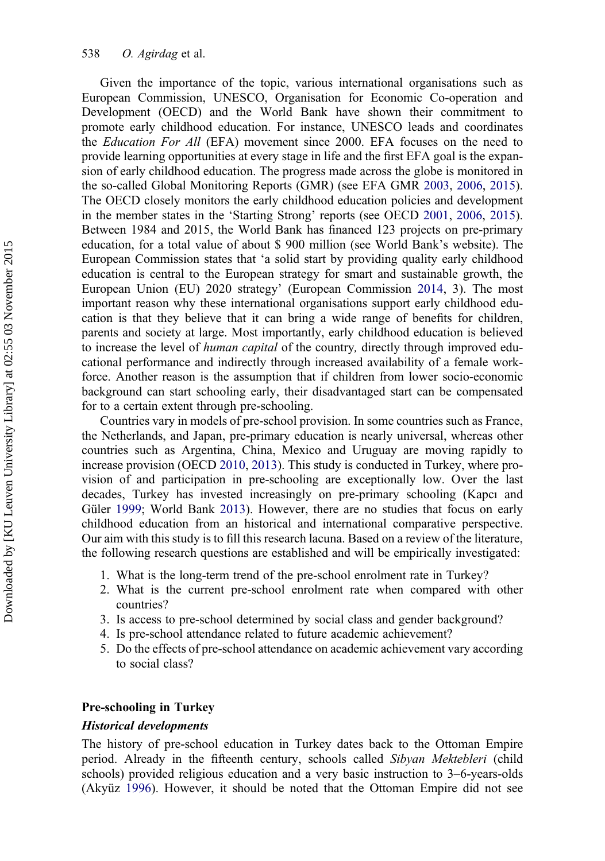Given the importance of the topic, various international organisations such as European Commission, UNESCO, Organisation for Economic Co-operation and Development (OECD) and the World Bank have shown their commitment to promote early childhood education. For instance, UNESCO leads and coordinates the *Education For All* (EFA) movement since 2000. EFA focuses on the need to provide learning opportunities at every stage in life and the first EFA goal is the expansion of early childhood education. The progress made across the globe is monitored in the so-called Global Monitoring Reports (GMR) (see EFA GMR [2003,](#page-18-0) [2006,](#page-18-0) [2015\)](#page-18-0). The OECD closely monitors the early childhood education policies and development in the member states in the 'Starting Strong' reports (see OECD [2001](#page-19-0), [2006](#page-19-0), [2015\)](#page-19-0). Between 1984 and 2015, the World Bank has financed 123 projects on pre-primary education, for a total value of about \$ 900 million (see World Bank's website). The European Commission states that 'a solid start by providing quality early childhood education is central to the European strategy for smart and sustainable growth, the European Union (EU) 2020 strategy' (European Commission [2014,](#page-18-0) 3). The most important reason why these international organisations support early childhood education is that they believe that it can bring a wide range of benefits for children, parents and society at large. Most importantly, early childhood education is believed to increase the level of *human capital* of the country, directly through improved educational performance and indirectly through increased availability of a female workforce. Another reason is the assumption that if children from lower socio-economic background can start schooling early, their disadvantaged start can be compensated for to a certain extent through pre-schooling.

Countries vary in models of pre-school provision. In some countries such as France, the Netherlands, and Japan, pre-primary education is nearly universal, whereas other countries such as Argentina, China, Mexico and Uruguay are moving rapidly to increase provision (OECD [2010](#page-19-0), [2013](#page-19-0)). This study is conducted in Turkey, where provision of and participation in pre-schooling are exceptionally low. Over the last decades, Turkey has invested increasingly on pre-primary schooling (Kapcı and Güler [1999](#page-18-0); World Bank [2013](#page-19-0)). However, there are no studies that focus on early childhood education from an historical and international comparative perspective. Our aim with this study is to fill this research lacuna. Based on a review of the literature, the following research questions are established and will be empirically investigated:

- 1. What is the long-term trend of the pre-school enrolment rate in Turkey?
- 2. What is the current pre-school enrolment rate when compared with other countries?
- 3. Is access to pre-school determined by social class and gender background?
- 4. Is pre-school attendance related to future academic achievement?
- 5. Do the effects of pre-school attendance on academic achievement vary according to social class?

#### Pre-schooling in Turkey

#### Historical developments

The history of pre-school education in Turkey dates back to the Ottoman Empire period. Already in the fifteenth century, schools called Sibyan Mektebleri (child schools) provided religious education and a very basic instruction to 3–6-years-olds (Akyüz [1996](#page-17-0)). However, it should be noted that the Ottoman Empire did not see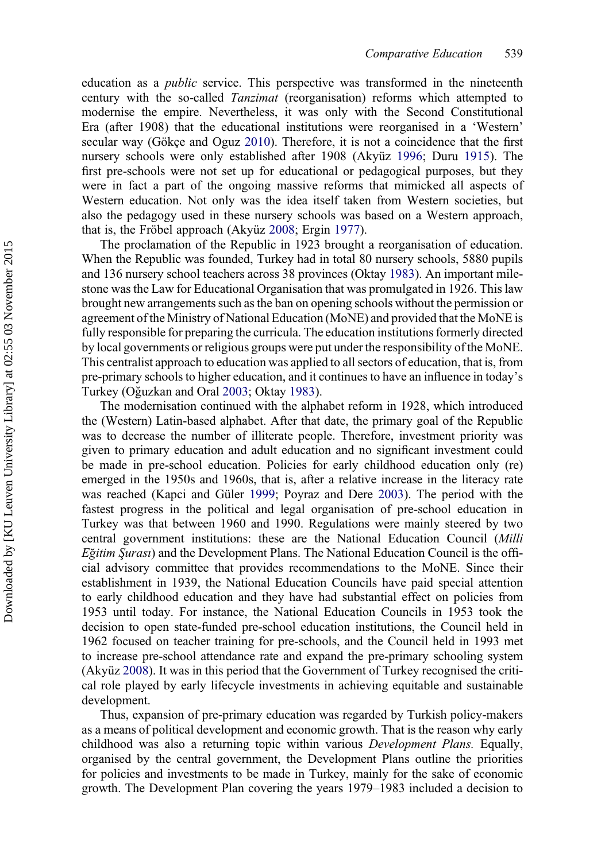education as a *public* service. This perspective was transformed in the nineteenth century with the so-called Tanzimat (reorganisation) reforms which attempted to modernise the empire. Nevertheless, it was only with the Second Constitutional Era (after 1908) that the educational institutions were reorganised in a 'Western' secular way (Gökçe and Oguz [2010](#page-18-0)). Therefore, it is not a coincidence that the first nursery schools were only established after 1908 (Akyüz [1996;](#page-17-0) Duru [1915\)](#page-18-0). The first pre-schools were not set up for educational or pedagogical purposes, but they were in fact a part of the ongoing massive reforms that mimicked all aspects of Western education. Not only was the idea itself taken from Western societies, but also the pedagogy used in these nursery schools was based on a Western approach, that is, the Fröbel approach (Akyüz [2008](#page-17-0); Ergin [1977\)](#page-18-0).

The proclamation of the Republic in 1923 brought a reorganisation of education. When the Republic was founded, Turkey had in total 80 nursery schools, 5880 pupils and 136 nursery school teachers across 38 provinces (Oktay [1983](#page-19-0)). An important milestone was the Law for Educational Organisation that was promulgated in 1926. This law brought new arrangements such as the ban on opening schools without the permission or agreement of the Ministry of National Education (MoNE) and provided that the MoNE is fully responsible for preparing the curricula. The education institutions formerly directed by local governments or religious groups were put under the responsibility of the MoNE. This centralist approach to education was applied to all sectors of education, that is, from pre-primary schools to higher education, and it continues to have an influence in today's Turkey (Oğ uzkan and Oral [2003;](#page-19-0) Oktay [1983\)](#page-19-0).

The modernisation continued with the alphabet reform in 1928, which introduced the (Western) Latin-based alphabet. After that date, the primary goal of the Republic was to decrease the number of illiterate people. Therefore, investment priority was given to primary education and adult education and no significant investment could be made in pre-school education. Policies for early childhood education only (re) emerged in the 1950s and 1960s, that is, after a relative increase in the literacy rate was reached (Kapci and Güler [1999](#page-18-0); Poyraz and Dere [2003](#page-19-0)). The period with the fastest progress in the political and legal organisation of pre-school education in Turkey was that between 1960 and 1990. Regulations were mainly steered by two central government institutions: these are the National Education Council (Milli Eğitim Surası) and the Development Plans. The National Education Council is the official advisory committee that provides recommendations to the MoNE. Since their establishment in 1939, the National Education Councils have paid special attention to early childhood education and they have had substantial effect on policies from 1953 until today. For instance, the National Education Councils in 1953 took the decision to open state-funded pre-school education institutions, the Council held in 1962 focused on teacher training for pre-schools, and the Council held in 1993 met to increase pre-school attendance rate and expand the pre-primary schooling system (Akyüz [2008](#page-17-0)). It was in this period that the Government of Turkey recognised the critical role played by early lifecycle investments in achieving equitable and sustainable development.

Thus, expansion of pre-primary education was regarded by Turkish policy-makers as a means of political development and economic growth. That is the reason why early childhood was also a returning topic within various Development Plans. Equally, organised by the central government, the Development Plans outline the priorities for policies and investments to be made in Turkey, mainly for the sake of economic growth. The Development Plan covering the years 1979–1983 included a decision to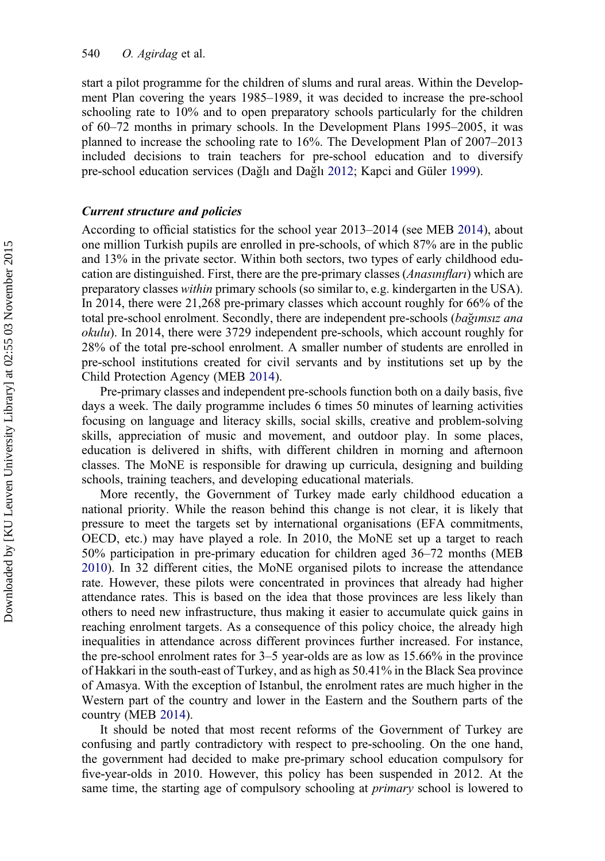start a pilot programme for the children of slums and rural areas. Within the Development Plan covering the years 1985–1989, it was decided to increase the pre-school schooling rate to 10% and to open preparatory schools particularly for the children of 60–72 months in primary schools. In the Development Plans 1995–2005, it was planned to increase the schooling rate to 16%. The Development Plan of 2007–2013 included decisions to train teachers for pre-school education and to diversify pre-school education services (Dağlı and Dağlı [2012](#page-18-0); Kapci and Güler [1999](#page-18-0)).

#### Current structure and policies

According to official statistics for the school year 2013–2014 (see MEB [2014](#page-19-0)), about one million Turkish pupils are enrolled in pre-schools, of which 87% are in the public and 13% in the private sector. Within both sectors, two types of early childhood education are distinguished. First, there are the pre-primary classes (Anasınıfları) which are preparatory classes within primary schools (so similar to, e.g. kindergarten in the USA). In 2014, there were 21,268 pre-primary classes which account roughly for 66% of the total pre-school enrolment. Secondly, there are independent pre-schools (bağımsız ana  $okulu$ ). In 2014, there were 3729 independent pre-schools, which account roughly for 28% of the total pre-school enrolment. A smaller number of students are enrolled in pre-school institutions created for civil servants and by institutions set up by the Child Protection Agency (MEB [2014](#page-19-0)).

Pre-primary classes and independent pre-schools function both on a daily basis, five days a week. The daily programme includes 6 times 50 minutes of learning activities focusing on language and literacy skills, social skills, creative and problem-solving skills, appreciation of music and movement, and outdoor play. In some places, education is delivered in shifts, with different children in morning and afternoon classes. The MoNE is responsible for drawing up curricula, designing and building schools, training teachers, and developing educational materials.

More recently, the Government of Turkey made early childhood education a national priority. While the reason behind this change is not clear, it is likely that pressure to meet the targets set by international organisations (EFA commitments, OECD, etc.) may have played a role. In 2010, the MoNE set up a target to reach 50% participation in pre-primary education for children aged 36–72 months (MEB [2010\)](#page-18-0). In 32 different cities, the MoNE organised pilots to increase the attendance rate. However, these pilots were concentrated in provinces that already had higher attendance rates. This is based on the idea that those provinces are less likely than others to need new infrastructure, thus making it easier to accumulate quick gains in reaching enrolment targets. As a consequence of this policy choice, the already high inequalities in attendance across different provinces further increased. For instance, the pre-school enrolment rates for 3–5 year-olds are as low as 15.66% in the province of Hakkari in the south-east of Turkey, and as high as 50.41% in the Black Sea province of Amasya. With the exception of Istanbul, the enrolment rates are much higher in the Western part of the country and lower in the Eastern and the Southern parts of the country (MEB [2014\)](#page-19-0).

It should be noted that most recent reforms of the Government of Turkey are confusing and partly contradictory with respect to pre-schooling. On the one hand, the government had decided to make pre-primary school education compulsory for five-year-olds in 2010. However, this policy has been suspended in 2012. At the same time, the starting age of compulsory schooling at *primary* school is lowered to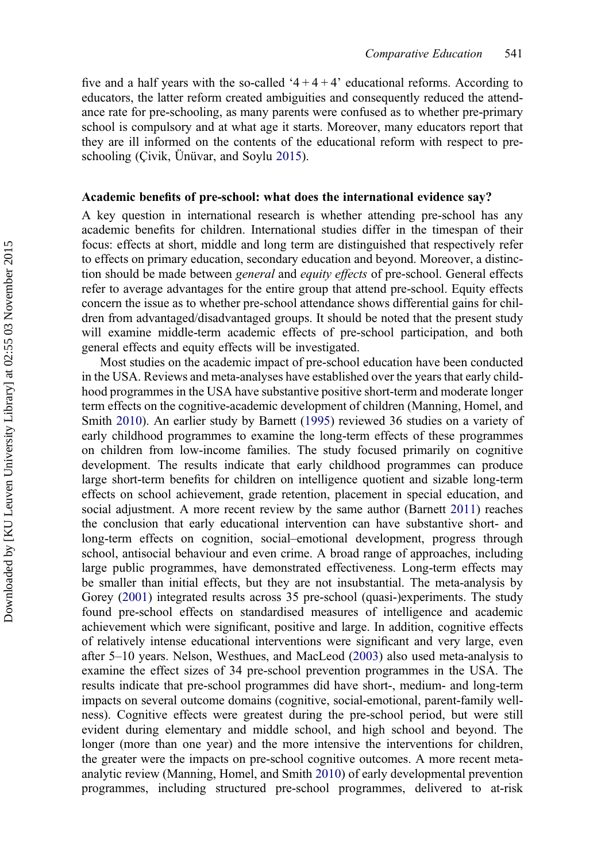five and a half years with the so-called  $4+4+4$ ' educational reforms. According to educators, the latter reform created ambiguities and consequently reduced the attendance rate for pre-schooling, as many parents were confused as to whether pre-primary school is compulsory and at what age it starts. Moreover, many educators report that they are ill informed on the contents of the educational reform with respect to preschooling (Çivik, Ünüvar, and Soylu [2015](#page-18-0)).

#### Academic benefits of pre-school: what does the international evidence say?

A key question in international research is whether attending pre-school has any academic benefits for children. International studies differ in the timespan of their focus: effects at short, middle and long term are distinguished that respectively refer to effects on primary education, secondary education and beyond. Moreover, a distinction should be made between *general* and *equity effects* of pre-school. General effects refer to average advantages for the entire group that attend pre-school. Equity effects concern the issue as to whether pre-school attendance shows differential gains for children from advantaged/disadvantaged groups. It should be noted that the present study will examine middle-term academic effects of pre-school participation, and both general effects and equity effects will be investigated.

Most studies on the academic impact of pre-school education have been conducted in the USA. Reviews and meta-analyses have established over the years that early childhood programmes in the USA have substantive positive short-term and moderate longer term effects on the cognitive-academic development of children (Manning, Homel, and Smith [2010\)](#page-18-0). An earlier study by Barnett [\(1995](#page-17-0)) reviewed 36 studies on a variety of early childhood programmes to examine the long-term effects of these programmes on children from low-income families. The study focused primarily on cognitive development. The results indicate that early childhood programmes can produce large short-term benefits for children on intelligence quotient and sizable long-term effects on school achievement, grade retention, placement in special education, and social adjustment. A more recent review by the same author (Barnett [2011](#page-18-0)) reaches the conclusion that early educational intervention can have substantive short- and long-term effects on cognition, social–emotional development, progress through school, antisocial behaviour and even crime. A broad range of approaches, including large public programmes, have demonstrated effectiveness. Long-term effects may be smaller than initial effects, but they are not insubstantial. The meta-analysis by Gorey ([2001\)](#page-18-0) integrated results across 35 pre-school (quasi-)experiments. The study found pre-school effects on standardised measures of intelligence and academic achievement which were significant, positive and large. In addition, cognitive effects of relatively intense educational interventions were significant and very large, even after 5–10 years. Nelson, Westhues, and MacLeod ([2003\)](#page-19-0) also used meta-analysis to examine the effect sizes of 34 pre-school prevention programmes in the USA. The results indicate that pre-school programmes did have short-, medium- and long-term impacts on several outcome domains (cognitive, social-emotional, parent-family wellness). Cognitive effects were greatest during the pre-school period, but were still evident during elementary and middle school, and high school and beyond. The longer (more than one year) and the more intensive the interventions for children, the greater were the impacts on pre-school cognitive outcomes. A more recent metaanalytic review (Manning, Homel, and Smith [2010](#page-18-0)) of early developmental prevention programmes, including structured pre-school programmes, delivered to at-risk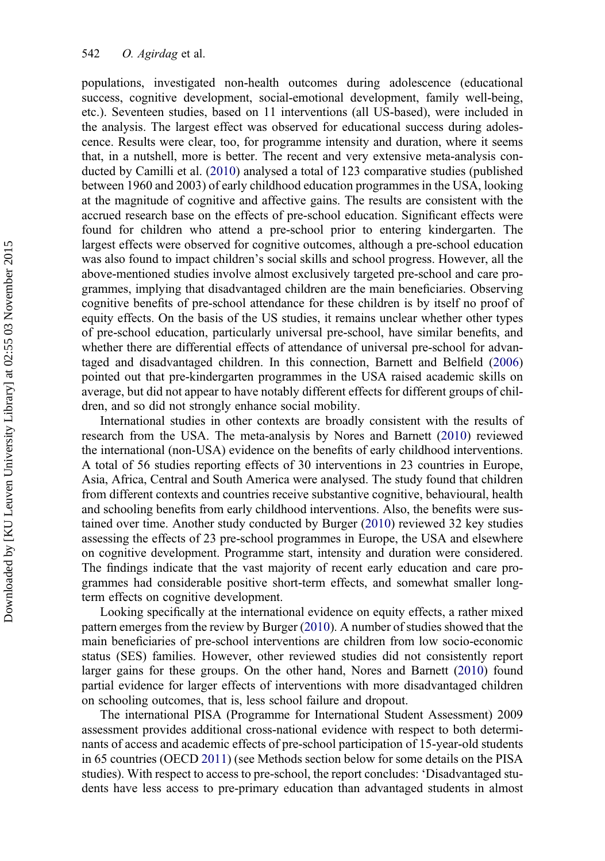populations, investigated non-health outcomes during adolescence (educational success, cognitive development, social-emotional development, family well-being, etc.). Seventeen studies, based on 11 interventions (all US-based), were included in the analysis. The largest effect was observed for educational success during adolescence. Results were clear, too, for programme intensity and duration, where it seems that, in a nutshell, more is better. The recent and very extensive meta-analysis conducted by Camilli et al. [\(2010](#page-18-0)) analysed a total of 123 comparative studies (published between 1960 and 2003) of early childhood education programmes in the USA, looking at the magnitude of cognitive and affective gains. The results are consistent with the accrued research base on the effects of pre-school education. Significant effects were found for children who attend a pre-school prior to entering kindergarten. The largest effects were observed for cognitive outcomes, although a pre-school education was also found to impact children's social skills and school progress. However, all the above-mentioned studies involve almost exclusively targeted pre-school and care programmes, implying that disadvantaged children are the main beneficiaries. Observing cognitive benefits of pre-school attendance for these children is by itself no proof of equity effects. On the basis of the US studies, it remains unclear whether other types of pre-school education, particularly universal pre-school, have similar benefits, and whether there are differential effects of attendance of universal pre-school for advantaged and disadvantaged children. In this connection, Barnett and Belfield [\(2006](#page-18-0)) pointed out that pre-kindergarten programmes in the USA raised academic skills on average, but did not appear to have notably different effects for different groups of children, and so did not strongly enhance social mobility.

International studies in other contexts are broadly consistent with the results of research from the USA. The meta-analysis by Nores and Barnett ([2010\)](#page-19-0) reviewed the international (non-USA) evidence on the benefits of early childhood interventions. A total of 56 studies reporting effects of 30 interventions in 23 countries in Europe, Asia, Africa, Central and South America were analysed. The study found that children from different contexts and countries receive substantive cognitive, behavioural, health and schooling benefits from early childhood interventions. Also, the benefits were sustained over time. Another study conducted by Burger ([2010\)](#page-18-0) reviewed 32 key studies assessing the effects of 23 pre-school programmes in Europe, the USA and elsewhere on cognitive development. Programme start, intensity and duration were considered. The findings indicate that the vast majority of recent early education and care programmes had considerable positive short-term effects, and somewhat smaller longterm effects on cognitive development.

Looking specifically at the international evidence on equity effects, a rather mixed pattern emerges from the review by Burger [\(2010](#page-18-0)). A number of studies showed that the main beneficiaries of pre-school interventions are children from low socio-economic status (SES) families. However, other reviewed studies did not consistently report larger gains for these groups. On the other hand, Nores and Barnett [\(2010](#page-19-0)) found partial evidence for larger effects of interventions with more disadvantaged children on schooling outcomes, that is, less school failure and dropout.

The international PISA (Programme for International Student Assessment) 2009 assessment provides additional cross-national evidence with respect to both determinants of access and academic effects of pre-school participation of 15-year-old students in 65 countries (OECD [2011](#page-19-0)) (see Methods section below for some details on the PISA studies). With respect to access to pre-school, the report concludes: 'Disadvantaged students have less access to pre-primary education than advantaged students in almost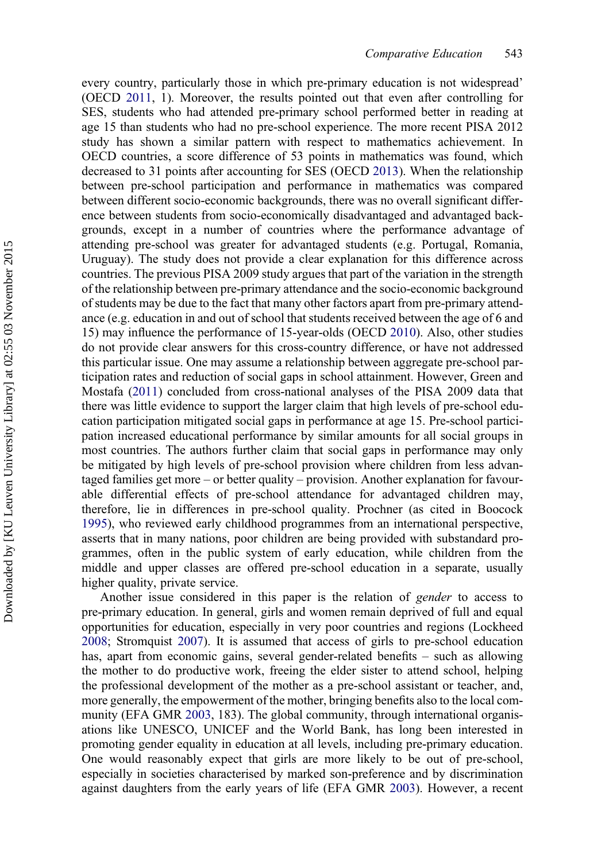every country, particularly those in which pre-primary education is not widespread' (OECD [2011,](#page-19-0) 1). Moreover, the results pointed out that even after controlling for SES, students who had attended pre-primary school performed better in reading at age 15 than students who had no pre-school experience. The more recent PISA 2012 study has shown a similar pattern with respect to mathematics achievement. In OECD countries, a score difference of 53 points in mathematics was found, which decreased to 31 points after accounting for SES (OECD [2013](#page-19-0)). When the relationship between pre-school participation and performance in mathematics was compared between different socio-economic backgrounds, there was no overall significant difference between students from socio-economically disadvantaged and advantaged backgrounds, except in a number of countries where the performance advantage of attending pre-school was greater for advantaged students (e.g. Portugal, Romania, Uruguay). The study does not provide a clear explanation for this difference across countries. The previous PISA 2009 study argues that part of the variation in the strength of the relationship between pre-primary attendance and the socio-economic background of students may be due to the fact that many other factors apart from pre-primary attendance (e.g. education in and out of school that students received between the age of 6 and 15) may influence the performance of 15-year-olds (OECD [2010](#page-19-0)). Also, other studies do not provide clear answers for this cross-country difference, or have not addressed this particular issue. One may assume a relationship between aggregate pre-school participation rates and reduction of social gaps in school attainment. However, Green and Mostafa [\(2011](#page-18-0)) concluded from cross-national analyses of the PISA 2009 data that there was little evidence to support the larger claim that high levels of pre-school education participation mitigated social gaps in performance at age 15. Pre-school participation increased educational performance by similar amounts for all social groups in most countries. The authors further claim that social gaps in performance may only be mitigated by high levels of pre-school provision where children from less advantaged families get more – or better quality – provision. Another explanation for favourable differential effects of pre-school attendance for advantaged children may, therefore, lie in differences in pre-school quality. Prochner (as cited in Boocock [1995\)](#page-18-0), who reviewed early childhood programmes from an international perspective, asserts that in many nations, poor children are being provided with substandard programmes, often in the public system of early education, while children from the middle and upper classes are offered pre-school education in a separate, usually higher quality, private service.

Another issue considered in this paper is the relation of gender to access to pre-primary education. In general, girls and women remain deprived of full and equal opportunities for education, especially in very poor countries and regions (Lockheed [2008;](#page-18-0) Stromquist [2007\)](#page-19-0). It is assumed that access of girls to pre-school education has, apart from economic gains, several gender-related benefits – such as allowing the mother to do productive work, freeing the elder sister to attend school, helping the professional development of the mother as a pre-school assistant or teacher, and, more generally, the empowerment of the mother, bringing benefits also to the local community (EFA GMR [2003](#page-18-0), 183). The global community, through international organisations like UNESCO, UNICEF and the World Bank, has long been interested in promoting gender equality in education at all levels, including pre-primary education. One would reasonably expect that girls are more likely to be out of pre-school, especially in societies characterised by marked son-preference and by discrimination against daughters from the early years of life (EFA GMR [2003\)](#page-18-0). However, a recent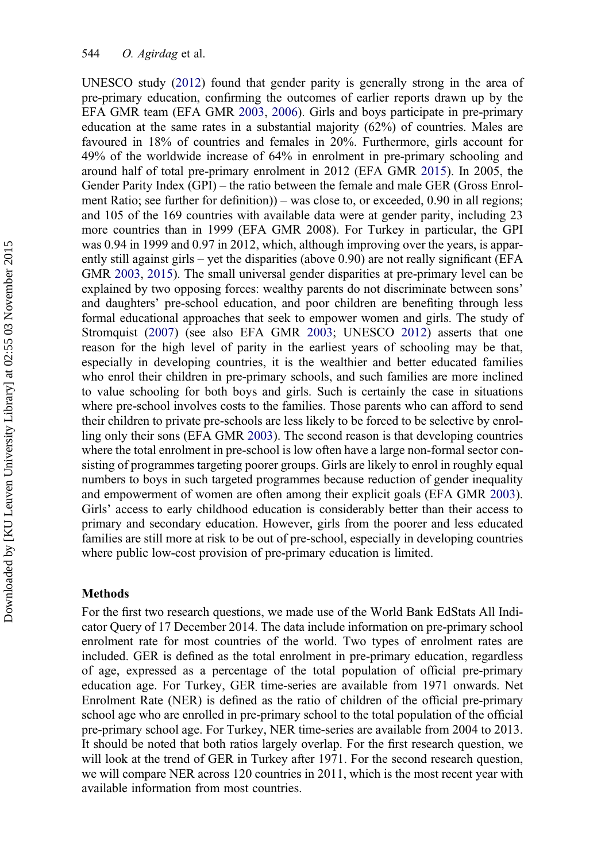UNESCO study [\(2012](#page-19-0)) found that gender parity is generally strong in the area of pre-primary education, confirming the outcomes of earlier reports drawn up by the EFA GMR team (EFA GMR [2003,](#page-18-0) [2006\)](#page-18-0). Girls and boys participate in pre-primary education at the same rates in a substantial majority (62%) of countries. Males are favoured in 18% of countries and females in 20%. Furthermore, girls account for 49% of the worldwide increase of 64% in enrolment in pre-primary schooling and around half of total pre-primary enrolment in 2012 (EFA GMR [2015](#page-18-0)). In 2005, the Gender Parity Index (GPI) – the ratio between the female and male GER (Gross Enrolment Ratio; see further for definition)) – was close to, or exceeded, 0.90 in all regions; and 105 of the 169 countries with available data were at gender parity, including 23 more countries than in 1999 (EFA GMR 2008). For Turkey in particular, the GPI was 0.94 in 1999 and 0.97 in 2012, which, although improving over the years, is apparently still against girls – yet the disparities (above 0.90) are not really significant (EFA GMR [2003](#page-18-0), [2015](#page-18-0)). The small universal gender disparities at pre-primary level can be explained by two opposing forces: wealthy parents do not discriminate between sons' and daughters' pre-school education, and poor children are benefiting through less formal educational approaches that seek to empower women and girls. The study of Stromquist [\(2007](#page-19-0)) (see also EFA GMR [2003](#page-18-0); UNESCO [2012](#page-19-0)) asserts that one reason for the high level of parity in the earliest years of schooling may be that, especially in developing countries, it is the wealthier and better educated families who enrol their children in pre-primary schools, and such families are more inclined to value schooling for both boys and girls. Such is certainly the case in situations where pre-school involves costs to the families. Those parents who can afford to send their children to private pre-schools are less likely to be forced to be selective by enrolling only their sons (EFA GMR [2003\)](#page-18-0). The second reason is that developing countries where the total enrolment in pre-school is low often have a large non-formal sector consisting of programmes targeting poorer groups. Girls are likely to enrol in roughly equal numbers to boys in such targeted programmes because reduction of gender inequality and empowerment of women are often among their explicit goals (EFA GMR [2003\)](#page-18-0). Girls' access to early childhood education is considerably better than their access to primary and secondary education. However, girls from the poorer and less educated families are still more at risk to be out of pre-school, especially in developing countries where public low-cost provision of pre-primary education is limited.

## Methods

For the first two research questions, we made use of the World Bank EdStats All Indicator Query of 17 December 2014. The data include information on pre-primary school enrolment rate for most countries of the world. Two types of enrolment rates are included. GER is defined as the total enrolment in pre-primary education, regardless of age, expressed as a percentage of the total population of official pre-primary education age. For Turkey, GER time-series are available from 1971 onwards. Net Enrolment Rate (NER) is defined as the ratio of children of the official pre-primary school age who are enrolled in pre-primary school to the total population of the official pre-primary school age. For Turkey, NER time-series are available from 2004 to 2013. It should be noted that both ratios largely overlap. For the first research question, we will look at the trend of GER in Turkey after 1971. For the second research question, we will compare NER across 120 countries in 2011, which is the most recent year with available information from most countries.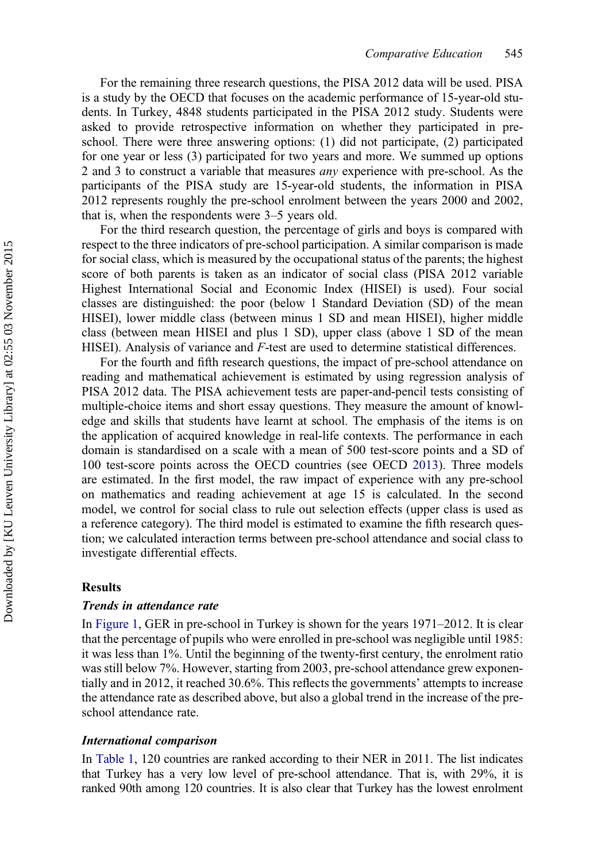For the remaining three research questions, the PISA 2012 data will be used. PISA is a study by the OECD that focuses on the academic performance of 15-year-old students. In Turkey, 4848 students participated in the PISA 2012 study. Students were asked to provide retrospective information on whether they participated in preschool. There were three answering options: (1) did not participate, (2) participated for one year or less (3) participated for two years and more. We summed up options 2 and 3 to construct a variable that measures any experience with pre-school. As the participants of the PISA study are 15-year-old students, the information in PISA 2012 represents roughly the pre-school enrolment between the years 2000 and 2002, that is, when the respondents were 3–5 years old.

For the third research question, the percentage of girls and boys is compared with respect to the three indicators of pre-school participation. A similar comparison is made for social class, which is measured by the occupational status of the parents; the highest score of both parents is taken as an indicator of social class (PISA 2012 variable Highest International Social and Economic Index (HISEI) is used). Four social classes are distinguished: the poor (below 1 Standard Deviation (SD) of the mean HISEI), lower middle class (between minus 1 SD and mean HISEI), higher middle class (between mean HISEI and plus 1 SD), upper class (above 1 SD of the mean HISEI). Analysis of variance and F-test are used to determine statistical differences.

For the fourth and fifth research questions, the impact of pre-school attendance on reading and mathematical achievement is estimated by using regression analysis of PISA 2012 data. The PISA achievement tests are paper-and-pencil tests consisting of multiple-choice items and short essay questions. They measure the amount of knowledge and skills that students have learnt at school. The emphasis of the items is on the application of acquired knowledge in real-life contexts. The performance in each domain is standardised on a scale with a mean of 500 test-score points and a SD of 100 test-score points across the OECD countries (see OECD [2013\)](#page-19-0). Three models are estimated. In the first model, the raw impact of experience with any pre-school on mathematics and reading achievement at age 15 is calculated. In the second model, we control for social class to rule out selection effects (upper class is used as a reference category). The third model is estimated to examine the fifth research question; we calculated interaction terms between pre-school attendance and social class to investigate differential effects.

#### Results

### Trends in attendance rate

In [Figure 1,](#page-11-0) GER in pre-school in Turkey is shown for the years 1971–2012. It is clear that the percentage of pupils who were enrolled in pre-school was negligible until 1985: it was less than 1%. Until the beginning of the twenty-first century, the enrolment ratio was still below 7%. However, starting from 2003, pre-school attendance grew exponentially and in 2012, it reached 30.6%. This reflects the governments' attempts to increase the attendance rate as described above, but also a global trend in the increase of the preschool attendance rate.

### International comparison

In [Table 1](#page-12-0), 120 countries are ranked according to their NER in 2011. The list indicates that Turkey has a very low level of pre-school attendance. That is, with 29%, it is ranked 90th among 120 countries. It is also clear that Turkey has the lowest enrolment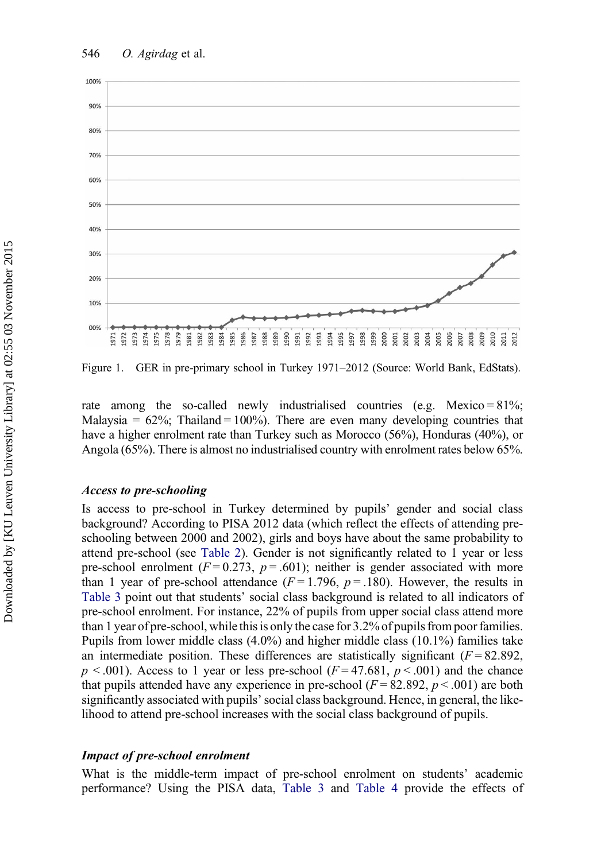<span id="page-11-0"></span>

Figure 1. GER in pre-primary school in Turkey 1971–2012 (Source: World Bank, EdStats).

rate among the so-called newly industrialised countries (e.g. Mexico =  $81\%$ ; Malaysia =  $62\%$ ; Thailand =  $100\%$ ). There are even many developing countries that have a higher enrolment rate than Turkey such as Morocco (56%), Honduras (40%), or Angola (65%). There is almost no industrialised country with enrolment rates below 65%.

## Access to pre-schooling

Is access to pre-school in Turkey determined by pupils' gender and social class background? According to PISA 2012 data (which reflect the effects of attending preschooling between 2000 and 2002), girls and boys have about the same probability to attend pre-school (see [Table 2\)](#page-13-0). Gender is not significantly related to 1 year or less pre-school enrolment ( $F = 0.273$ ,  $p = .601$ ); neither is gender associated with more than 1 year of pre-school attendance  $(F=1.796, p=.180)$ . However, the results in [Table 3](#page-14-0) point out that students' social class background is related to all indicators of pre-school enrolment. For instance, 22% of pupils from upper social class attend more than 1 year of pre-school, while this is only the case for 3.2% of pupils from poor families. Pupils from lower middle class (4.0%) and higher middle class (10.1%) families take an intermediate position. These differences are statistically significant  $(F = 82.892$ ,  $p < .001$ ). Access to 1 year or less pre-school ( $F = 47.681$ ,  $p < .001$ ) and the chance that pupils attended have any experience in pre-school  $(F = 82.892, p < .001)$  are both significantly associated with pupils'social class background. Hence, in general, the likelihood to attend pre-school increases with the social class background of pupils.

#### Impact of pre-school enrolment

What is the middle-term impact of pre-school enrolment on students' academic performance? Using the PISA data, [Table 3](#page-14-0) and [Table 4](#page-14-0) provide the effects of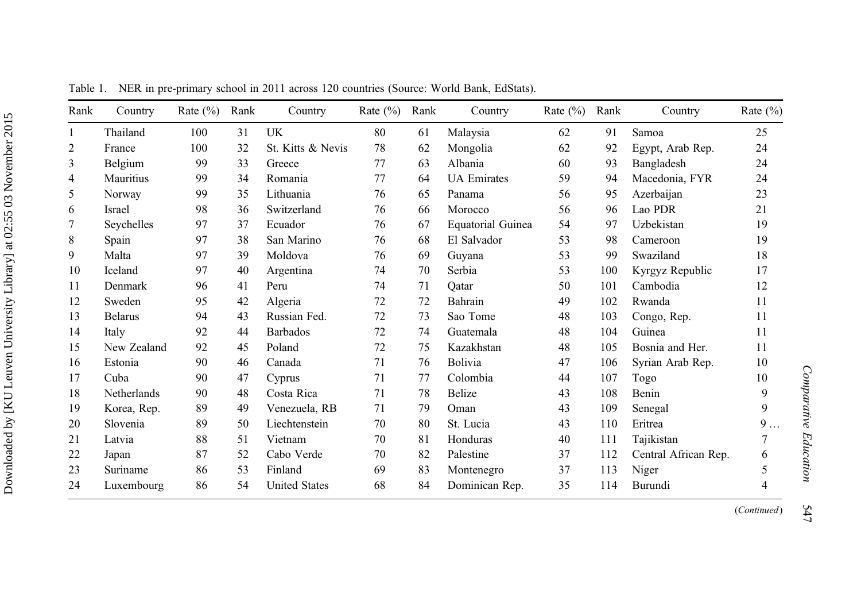| Rank | Country        | Rate $(\% )$ | Rank | Country              | Rate $(\% )$ | Rank | Country            | Rate $(\% )$ | Rank | Country              | Rate $(\%)$    |
|------|----------------|--------------|------|----------------------|--------------|------|--------------------|--------------|------|----------------------|----------------|
|      | Thailand       | 100          | 31   | <b>UK</b>            | 80           | 61   | Malaysia           | 62           | 91   | Samoa                | 25             |
| 2    | France         | 100          | 32   | St. Kitts & Nevis    | 78           | 62   | Mongolia           | 62           | 92   | Egypt, Arab Rep.     | 24             |
| 3    | Belgium        | 99           | 33   | Greece               | 77           | 63   | Albania            | 60           | 93   | Bangladesh           | 24             |
| 4    | Mauritius      | 99           | 34   | Romania              | 77           | 64   | <b>UA</b> Emirates | 59           | 94   | Macedonia, FYR       | 24             |
| 5    | Norway         | 99           | 35   | Lithuania            | 76           | 65   | Panama             | 56           | 95   | Azerbaijan           | 23             |
| 6    | Israel         | 98           | 36   | Switzerland          | 76           | 66   | Morocco            | 56           | 96   | Lao PDR              | 21             |
|      | Seychelles     | 97           | 37   | Ecuador              | 76           | 67   | Equatorial Guinea  | 54           | 97   | Uzbekistan           | 19             |
| 8    | Spain          | 97           | 38   | San Marino           | 76           | 68   | El Salvador        | 53           | 98   | Cameroon             | 19             |
| 9    | Malta          | 97           | 39   | Moldova              | 76           | 69   | Guyana             | 53           | 99   | Swaziland            | 18             |
| 10   | <b>Iceland</b> | 97           | 40   | Argentina            | 74           | 70   | Serbia             | 53           | 100  | Kyrgyz Republic      | 17             |
| 11   | Denmark        | 96           | 41   | Peru                 | 74           | 71   | Oatar              | 50           | 101  | Cambodia             | 12             |
| 12   | Sweden         | 95           | 42   | Algeria              | 72           | 72   | Bahrain            | 49           | 102  | Rwanda               | 11             |
| 13   | <b>Belarus</b> | 94           | 43   | Russian Fed.         | 72           | 73   | Sao Tome           | 48           | 103  | Congo, Rep.          | 11             |
| 14   | Italy          | 92           | 44   | <b>Barbados</b>      | 72           | 74   | Guatemala          | 48           | 104  | Guinea               | 11             |
| 15   | New Zealand    | 92           | 45   | Poland               | 72           | 75   | Kazakhstan         | 48           | 105  | Bosnia and Her.      | 11             |
| 16   | Estonia        | 90           | 46   | Canada               | 71           | 76   | <b>Bolivia</b>     | 47           | 106  | Syrian Arab Rep.     | 10             |
| 17   | Cuba           | 90           | 47   | Cyprus               | 71           | 77   | Colombia           | 44           | 107  | Togo                 | 10             |
| 18   | Netherlands    | 90           | 48   | Costa Rica           | 71           | 78   | <b>Belize</b>      | 43           | 108  | Benin                | 9              |
| 19   | Korea, Rep.    | 89           | 49   | Venezuela, RB        | 71           | 79   | Oman               | 43           | 109  | Senegal              | 9              |
| 20   | Slovenia       | 89           | 50   | Liechtenstein        | 70           | 80   | St. Lucia          | 43           | 110  | Eritrea              | 9              |
| 21   | Latvia         | 88           | 51   | Vietnam              | 70           | 81   | Honduras           | 40           | 111  | Tajikistan           | $\overline{7}$ |
| 22   | Japan          | 87           | 52   | Cabo Verde           | 70           | 82   | Palestine          | 37           | 112  | Central African Rep. | 6              |
| 23   | Suriname       | 86           | 53   | Finland              | 69           | 83   | Montenegro         | 37           | 113  | Niger                | 5              |
| 24   | Luxembourg     | 86           | 54   | <b>United States</b> | 68           | 84   | Dominican Rep.     | 35           | 114  | Burundi              | 4              |

<span id="page-12-0"></span>Table 1. NER in pre-primary school in 2011 across 120 countries (Source: World Bank, EdStats).

(Continued)

Comparative Education

Comparative Education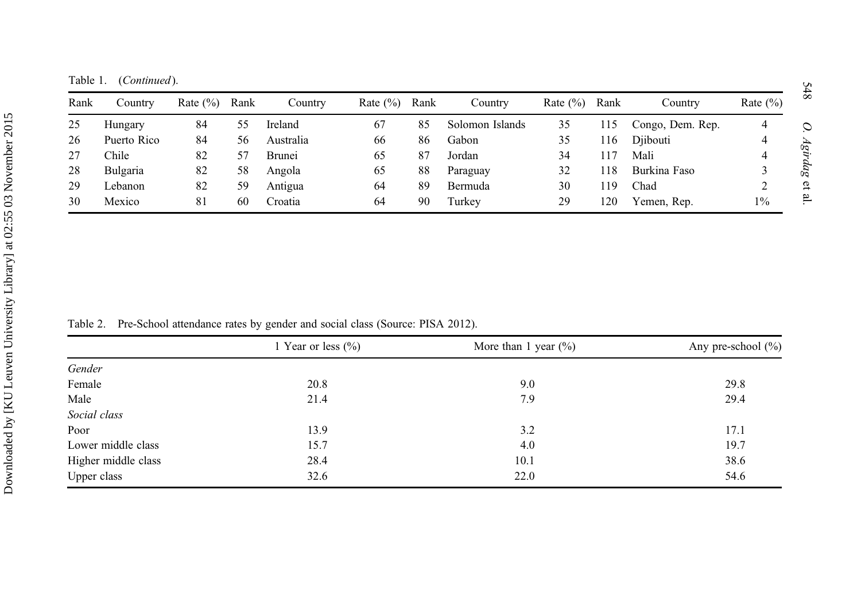<span id="page-13-0"></span>

| Rank | Country         | Rate $(\%)$ | Rank | Country   | Rate $(\% )$ | Rank | Country         | Rate $(\% )$ | Rank | Country          | Rate $(\% )$ |
|------|-----------------|-------------|------|-----------|--------------|------|-----------------|--------------|------|------------------|--------------|
| 25   | Hungary         | 84          | 55   | Ireland   | 67           | 85   | Solomon Islands | 35           | 115  | Congo, Dem. Rep. | 4            |
| 26   | Puerto Rico     | 84          | 56   | Australia | 66           | 86   | Gabon           | 35           | 116  | Diibouti         | 4            |
| 27   | Chile           | 82          | 57   | Brunei    | 65           | 87   | Jordan          | 34           | 117  | Mali             |              |
| 28   | <b>Bulgaria</b> | 82          | 58   | Angola    | 65           | 88   | Paraguay        | 32           | 118  | Burkina Faso     |              |
| 29   | Lebanon         | 82          | 59   | Antigua   | 64           | 89   | Bermuda         | 30           | 119  | Chad             |              |
| 30   | Mexico          | 81          | 60   | Croatia   | 64           | 90   | Turkey          | 29           | 120  | Yemen, Rep.      | $1\%$        |

Table 2. Pre-School attendance rates by gender and social class (Source: PISA 2012).

|                     | 1 Year or less $(\% )$ | More than 1 year $(\%)$ | Any pre-school $(\% )$ |
|---------------------|------------------------|-------------------------|------------------------|
| Gender              |                        |                         |                        |
| Female              | 20.8                   | 9.0                     | 29.8                   |
| Male                | 21.4                   | 7.9                     | 29.4                   |
| Social class        |                        |                         |                        |
| Poor                | 13.9                   | 3.2                     | 17.1                   |
| Lower middle class  | 15.7                   | 4.0                     | 19.7                   |
| Higher middle class | 28.4                   | 10.1                    | 38.6                   |
| Upper class         | 32.6                   | 22.0                    | 54.6                   |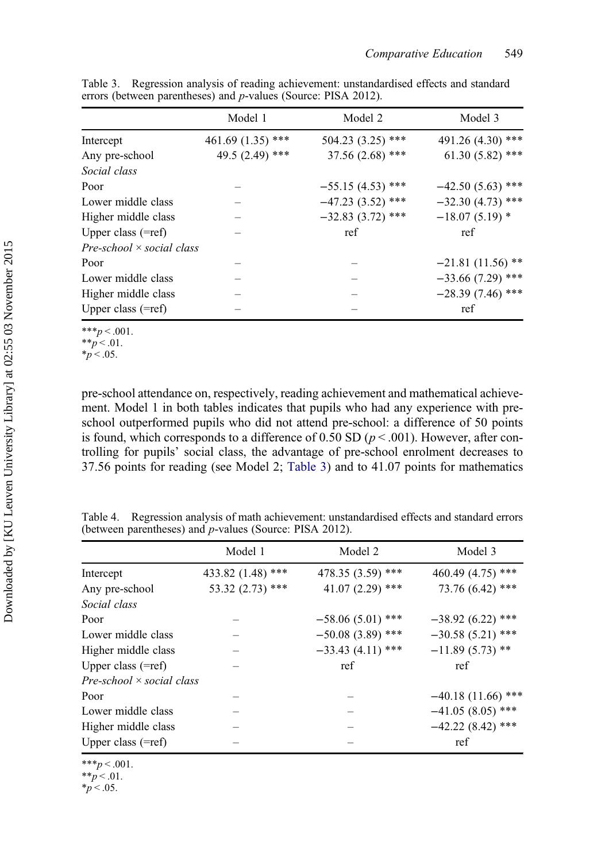|                                  | Model 1             | Model 2            | Model 3            |
|----------------------------------|---------------------|--------------------|--------------------|
| Intercept                        | 461.69 $(1.35)$ *** | 504.23 (3.25) ***  | 491.26 (4.30) ***  |
| Any pre-school                   | 49.5 (2.49) ***     | $37.56(2.68)$ ***  | 61.30 (5.82) ***   |
| Social class                     |                     |                    |                    |
| Poor                             |                     | $-55.15(4.53)$ *** | $-42.50(5.63)$ *** |
| Lower middle class               |                     | $-47.23(3.52)$ *** | $-32.30(4.73)$ *** |
| Higher middle class              |                     | $-32.83(3.72)$ *** | $-18.07(5.19)$ *   |
| Upper class $(=ref)$             |                     | ref                | ref                |
| $Pre-school \times social class$ |                     |                    |                    |
| Poor                             |                     |                    | $-21.81(11.56)$ ** |
| Lower middle class               |                     |                    | $-33.66(7.29)$ *** |
| Higher middle class              |                     |                    | $-28.39(7.46)$ *** |
| Upper class $(=ref)$             |                     |                    | ref                |

<span id="page-14-0"></span>Table 3. Regression analysis of reading achievement: unstandardised effects and standard errors (between parentheses) and p-values (Source: PISA 2012).

\*\*\* $p < .001$ .

pre-school attendance on, respectively, reading achievement and mathematical achievement. Model 1 in both tables indicates that pupils who had any experience with preschool outperformed pupils who did not attend pre-school: a difference of 50 points is found, which corresponds to a difference of 0.50 SD ( $p < .001$ ). However, after controlling for pupils' social class, the advantage of pre-school enrolment decreases to 37.56 points for reading (see Model 2; Table 3) and to 41.07 points for mathematics

Table 4. Regression analysis of math achievement: unstandardised effects and standard errors (between parentheses) and p-values (Source: PISA 2012).

|                                  | Model 1            | Model 2            | Model 3             |
|----------------------------------|--------------------|--------------------|---------------------|
| Intercept                        | 433.82 (1.48) ***  | 478.35 (3.59) ***  | 460.49 (4.75) ***   |
| Any pre-school                   | 53.32 $(2.73)$ *** | 41.07 $(2.29)$ *** | $73.76(6.42)$ ***   |
| Social class                     |                    |                    |                     |
| Poor                             |                    | $-58.06(5.01)$ *** | $-38.92(6.22)$ ***  |
| Lower middle class               |                    | $-50.08(3.89)$ *** | $-30.58(5.21)$ ***  |
| Higher middle class              |                    | $-33.43(4.11)$ *** | $-11.89(5.73)$ **   |
| Upper class $(=ref)$             |                    | ref                | ref                 |
| $Pre-school \times social class$ |                    |                    |                     |
| Poor                             |                    |                    | $-40.18(11.66)$ *** |
| Lower middle class               |                    |                    | $-41.05(8.05)$ ***  |
| Higher middle class              |                    |                    | $-42.22(8.42)$ ***  |
| Upper class $(=ref)$             |                    |                    | ref                 |

\*\*\* $p < .001$ .

$$
**p < .01
$$

 $*_{p}$  < .05.

<sup>\*\*</sup> $p < .01$ .

 $*_{p}$  < .05.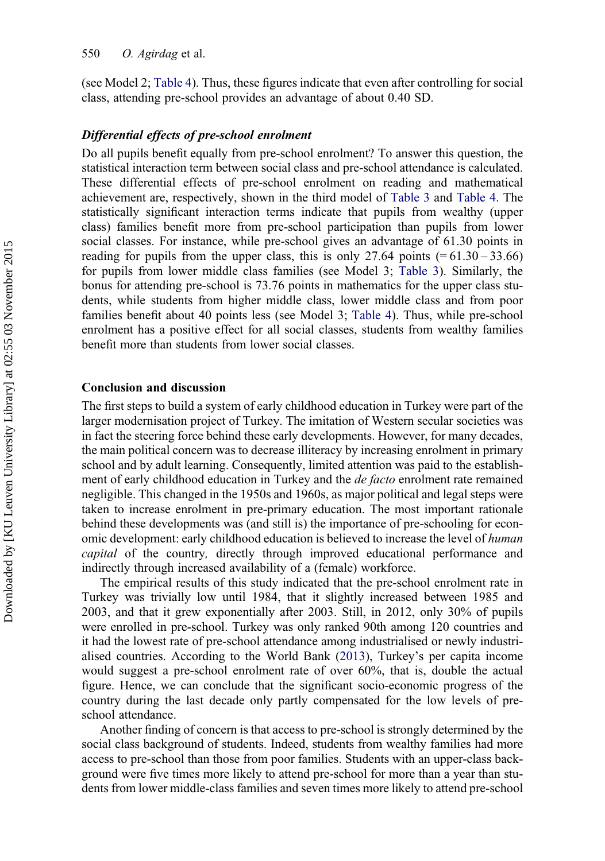(see Model 2; [Table 4](#page-14-0)). Thus, these figures indicate that even after controlling for social class, attending pre-school provides an advantage of about 0.40 SD.

#### Differential effects of pre-school enrolment

Do all pupils benefit equally from pre-school enrolment? To answer this question, the statistical interaction term between social class and pre-school attendance is calculated. These differential effects of pre-school enrolment on reading and mathematical achievement are, respectively, shown in the third model of [Table 3](#page-14-0) and [Table 4.](#page-14-0) The statistically significant interaction terms indicate that pupils from wealthy (upper class) families benefit more from pre-school participation than pupils from lower social classes. For instance, while pre-school gives an advantage of 61.30 points in reading for pupils from the upper class, this is only 27.64 points  $(= 61.30 - 33.66)$ for pupils from lower middle class families (see Model 3; [Table 3](#page-14-0)). Similarly, the bonus for attending pre-school is 73.76 points in mathematics for the upper class students, while students from higher middle class, lower middle class and from poor families benefit about 40 points less (see Model 3; [Table 4](#page-14-0)). Thus, while pre-school enrolment has a positive effect for all social classes, students from wealthy families benefit more than students from lower social classes.

#### Conclusion and discussion

The first steps to build a system of early childhood education in Turkey were part of the larger modernisation project of Turkey. The imitation of Western secular societies was in fact the steering force behind these early developments. However, for many decades, the main political concern was to decrease illiteracy by increasing enrolment in primary school and by adult learning. Consequently, limited attention was paid to the establishment of early childhood education in Turkey and the *de facto* enrolment rate remained negligible. This changed in the 1950s and 1960s, as major political and legal steps were taken to increase enrolment in pre-primary education. The most important rationale behind these developments was (and still is) the importance of pre-schooling for economic development: early childhood education is believed to increase the level of *human* capital of the country, directly through improved educational performance and indirectly through increased availability of a (female) workforce.

The empirical results of this study indicated that the pre-school enrolment rate in Turkey was trivially low until 1984, that it slightly increased between 1985 and 2003, and that it grew exponentially after 2003. Still, in 2012, only 30% of pupils were enrolled in pre-school. Turkey was only ranked 90th among 120 countries and it had the lowest rate of pre-school attendance among industrialised or newly industrialised countries. According to the World Bank [\(2013](#page-19-0)), Turkey's per capita income would suggest a pre-school enrolment rate of over 60%, that is, double the actual figure. Hence, we can conclude that the significant socio-economic progress of the country during the last decade only partly compensated for the low levels of preschool attendance.

Another finding of concern is that access to pre-school is strongly determined by the social class background of students. Indeed, students from wealthy families had more access to pre-school than those from poor families. Students with an upper-class background were five times more likely to attend pre-school for more than a year than students from lower middle-class families and seven times more likely to attend pre-school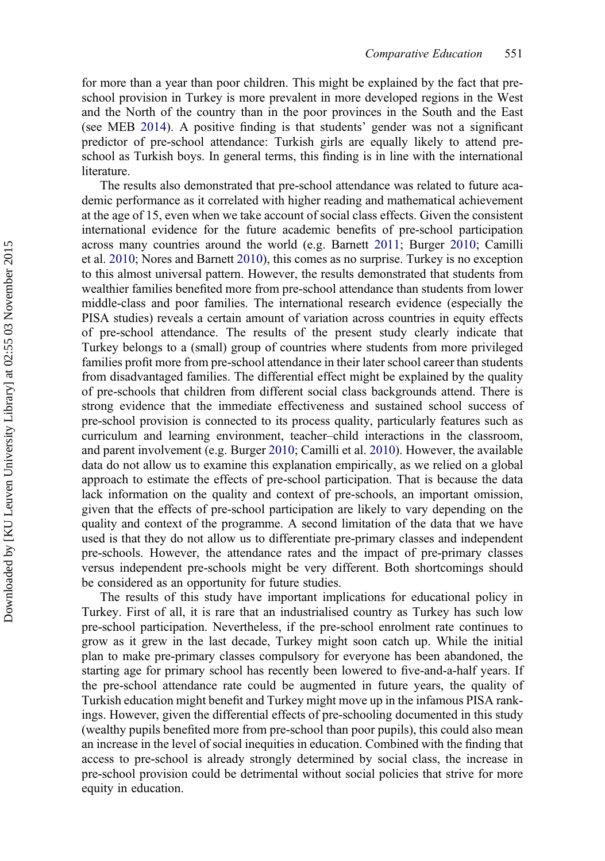for more than a year than poor children. This might be explained by the fact that preschool provision in Turkey is more prevalent in more developed regions in the West and the North of the country than in the poor provinces in the South and the East (see MEB [2014\)](#page-19-0). A positive finding is that students' gender was not a significant predictor of pre-school attendance: Turkish girls are equally likely to attend preschool as Turkish boys. In general terms, this finding is in line with the international literature.

The results also demonstrated that pre-school attendance was related to future academic performance as it correlated with higher reading and mathematical achievement at the age of 15, even when we take account of social class effects. Given the consistent international evidence for the future academic benefits of pre-school participation across many countries around the world (e.g. Barnett [2011](#page-18-0); Burger [2010](#page-18-0); Camilli et al. [2010](#page-18-0); Nores and Barnett [2010](#page-19-0)), this comes as no surprise. Turkey is no exception to this almost universal pattern. However, the results demonstrated that students from wealthier families benefited more from pre-school attendance than students from lower middle-class and poor families. The international research evidence (especially the PISA studies) reveals a certain amount of variation across countries in equity effects of pre-school attendance. The results of the present study clearly indicate that Turkey belongs to a (small) group of countries where students from more privileged families profit more from pre-school attendance in their later school career than students from disadvantaged families. The differential effect might be explained by the quality of pre-schools that children from different social class backgrounds attend. There is strong evidence that the immediate effectiveness and sustained school success of pre-school provision is connected to its process quality, particularly features such as curriculum and learning environment, teacher–child interactions in the classroom, and parent involvement (e.g. Burger [2010](#page-18-0); Camilli et al. [2010](#page-18-0)). However, the available data do not allow us to examine this explanation empirically, as we relied on a global approach to estimate the effects of pre-school participation. That is because the data lack information on the quality and context of pre-schools, an important omission, given that the effects of pre-school participation are likely to vary depending on the quality and context of the programme. A second limitation of the data that we have used is that they do not allow us to differentiate pre-primary classes and independent pre-schools. However, the attendance rates and the impact of pre-primary classes versus independent pre-schools might be very different. Both shortcomings should be considered as an opportunity for future studies.

The results of this study have important implications for educational policy in Turkey. First of all, it is rare that an industrialised country as Turkey has such low pre-school participation. Nevertheless, if the pre-school enrolment rate continues to grow as it grew in the last decade, Turkey might soon catch up. While the initial plan to make pre-primary classes compulsory for everyone has been abandoned, the starting age for primary school has recently been lowered to five-and-a-half years. If the pre-school attendance rate could be augmented in future years, the quality of Turkish education might benefit and Turkey might move up in the infamous PISA rankings. However, given the differential effects of pre-schooling documented in this study (wealthy pupils benefited more from pre-school than poor pupils), this could also mean an increase in the level of social inequities in education. Combined with the finding that access to pre-school is already strongly determined by social class, the increase in pre-school provision could be detrimental without social policies that strive for more equity in education.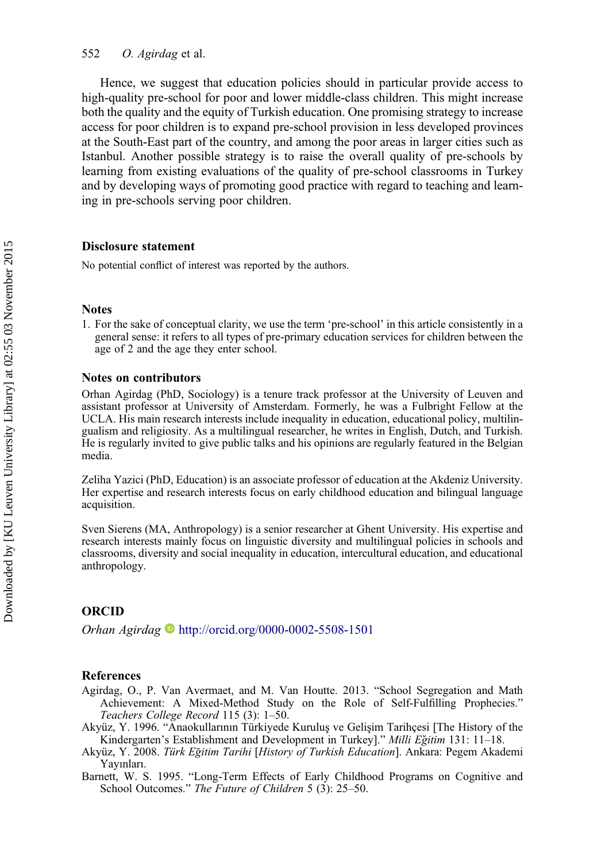<span id="page-17-0"></span>Hence, we suggest that education policies should in particular provide access to high-quality pre-school for poor and lower middle-class children. This might increase both the quality and the equity of Turkish education. One promising strategy to increase access for poor children is to expand pre-school provision in less developed provinces at the South-East part of the country, and among the poor areas in larger cities such as Istanbul. Another possible strategy is to raise the overall quality of pre-schools by learning from existing evaluations of the quality of pre-school classrooms in Turkey and by developing ways of promoting good practice with regard to teaching and learning in pre-schools serving poor children.

#### Disclosure statement

No potential conflict of interest was reported by the authors.

### **Notes**

1. For the sake of conceptual clarity, we use the term 'pre-school' in this article consistently in a general sense: it refers to all types of pre-primary education services for children between the age of 2 and the age they enter school.

#### Notes on contributors

Orhan Agirdag (PhD, Sociology) is a tenure track professor at the University of Leuven and assistant professor at University of Amsterdam. Formerly, he was a Fulbright Fellow at the UCLA. His main research interests include inequality in education, educational policy, multilingualism and religiosity. As a multilingual researcher, he writes in English, Dutch, and Turkish. He is regularly invited to give public talks and his opinions are regularly featured in the Belgian media.

Zeliha Yazici (PhD, Education) is an associate professor of education at the Akdeniz University. Her expertise and research interests focus on early childhood education and bilingual language acquisition.

Sven Sierens (MA, Anthropology) is a senior researcher at Ghent University. His expertise and research interests mainly focus on linguistic diversity and multilingual policies in schools and classrooms, diversity and social inequality in education, intercultural education, and educational anthropology.

#### ORCID

Orhan Agirdag <http://orcid.org/0000-0002-5508-1501>

#### References

- Agirdag, O., P. Van Avermaet, and M. Van Houtte. 2013. "School Segregation and Math Achievement: A Mixed-Method Study on the Role of Self-Fulfilling Prophecies." Teachers College Record 115 (3): 1–50.
- Akyüz, Y. 1996. "Anaokullarının Türkiyede Kuruluş ve Gelişim Tarihçesi [The History of the Kindergarten's Establishment and Development in Turkey]." Milli Eğitim 131: 11-18.
- Akyüz, Y. 2008. Türk Eğitim Tarihi [History of Turkish Education]. Ankara: Pegem Akademi Yayınları.
- Barnett, W. S. 1995. "Long-Term Effects of Early Childhood Programs on Cognitive and School Outcomes." The Future of Children 5 (3): 25–50.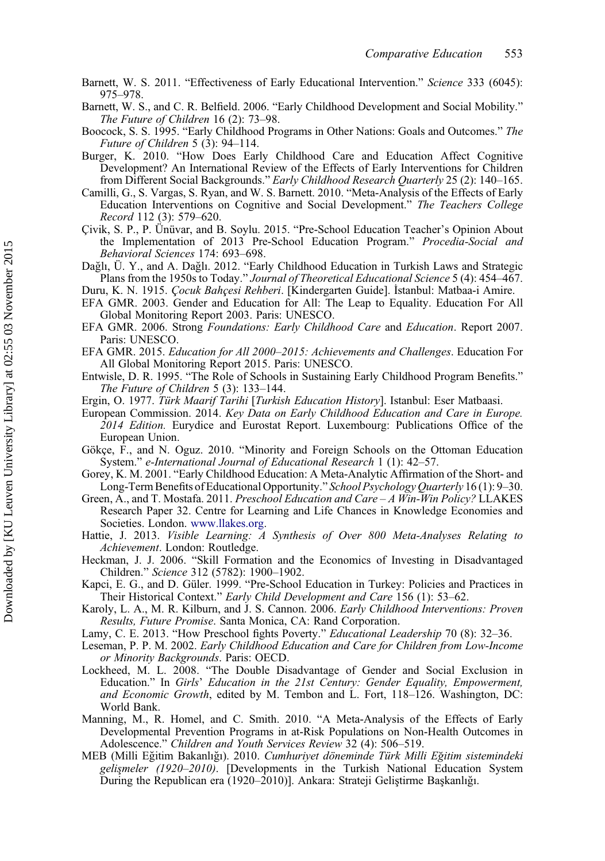- <span id="page-18-0"></span>Barnett, W. S. 2011. "Effectiveness of Early Educational Intervention." Science 333 (6045): 975–978.
- Barnett, W. S., and C. R. Belfield. 2006. "Early Childhood Development and Social Mobility." The Future of Children 16 (2): 73–98.
- Boocock, S. S. 1995. "Early Childhood Programs in Other Nations: Goals and Outcomes." The Future of Children 5 (3): 94–114.
- Burger, K. 2010. "How Does Early Childhood Care and Education Affect Cognitive Development? An International Review of the Effects of Early Interventions for Children from Different Social Backgrounds." Early Childhood Research Quarterly 25 (2): 140–165.
- Camilli, G., S. Vargas, S. Ryan, and W. S. Barnett. 2010. "Meta-Analysis of the Effects of Early Education Interventions on Cognitive and Social Development." The Teachers College Record 112 (3): 579–620.
- Çivik, S. P., P. Ünüvar, and B. Soylu. 2015. "Pre-School Education Teacher's Opinion About the Implementation of 2013 Pre-School Education Program." Procedia-Social and Behavioral Sciences 174: 693–698.
- Dağlı, Ü. Y., and A. Dağlı. 2012. "Early Childhood Education in Turkish Laws and Strategic Plans from the 1950s to Today." Journal of Theoretical Educational Science 5 (4): 454–467.
- Duru, K. N. 1915. Çocuk Bahçesi Rehberi. [Kindergarten Guide]. İstanbul: Matbaa-i Amire.
- EFA GMR. 2003. Gender and Education for All: The Leap to Equality. Education For All Global Monitoring Report 2003. Paris: UNESCO.
- EFA GMR. 2006. Strong Foundations: Early Childhood Care and Education. Report 2007. Paris: UNESCO.
- EFA GMR. 2015. Education for All 2000–2015: Achievements and Challenges. Education For All Global Monitoring Report 2015. Paris: UNESCO.
- Entwisle, D. R. 1995. "The Role of Schools in Sustaining Early Childhood Program Benefits." The Future of Children 5 (3): 133–144.
- Ergin, O. 1977. Türk Maarif Tarihi [Turkish Education History]. Istanbul: Eser Matbaasi.
- European Commission. 2014. Key Data on Early Childhood Education and Care in Europe. 2014 Edition. Eurydice and Eurostat Report. Luxembourg: Publications Office of the European Union.
- Gökçe, F., and N. Oguz. 2010. "Minority and Foreign Schools on the Ottoman Education System." e-International Journal of Educational Research 1 (1): 42–57.
- Gorey, K. M. 2001. "Early Childhood Education: A Meta-Analytic Affirmation of the Short- and Long-Term Benefits of Educational Opportunity." School Psychology Quarterly 16 (1): 9–30.
- Green, A., and T. Mostafa. 2011. Preschool Education and Care A Win-Win Policy? LLAKES Research Paper 32. Centre for Learning and Life Chances in Knowledge Economies and Societies. London. [www.llakes.org](http://www.llakes.org).
- Hattie, J. 2013. Visible Learning: A Synthesis of Over 800 Meta-Analyses Relating to Achievement. London: Routledge.
- Heckman, J. J. 2006. "Skill Formation and the Economics of Investing in Disadvantaged Children." Science 312 (5782): 1900–1902.
- Kapci, E. G., and D. Güler. 1999. "Pre-School Education in Turkey: Policies and Practices in Their Historical Context." Early Child Development and Care 156 (1): 53-62.
- Karoly, L. A., M. R. Kilburn, and J. S. Cannon. 2006. Early Childhood Interventions: Proven Results, Future Promise. Santa Monica, CA: Rand Corporation.
- Lamy, C. E. 2013. "How Preschool fights Poverty." Educational Leadership 70 (8): 32–36.
- Leseman, P. P. M. 2002. Early Childhood Education and Care for Children from Low-Income or Minority Backgrounds. Paris: OECD.
- Lockheed, M. L. 2008. "The Double Disadvantage of Gender and Social Exclusion in Education." In Girls' Education in the 21st Century: Gender Equality, Empowerment, and Economic Growth, edited by M. Tembon and L. Fort, 118–126. Washington, DC: World Bank.
- Manning, M., R. Homel, and C. Smith. 2010. "A Meta-Analysis of the Effects of Early Developmental Prevention Programs in at-Risk Populations on Non-Health Outcomes in Adolescence." Children and Youth Services Review 32 (4): 506–519.
- MEB (Milli Eğitim Bakanlığı). 2010. Cumhuriyet döneminde Türk Milli Eğitim sistemindeki gelismeler (1920–2010). [Developments in the Turkish National Education System During the Republican era (1920–2010)]. Ankara: Strateji Geliştirme Başkanlığı.